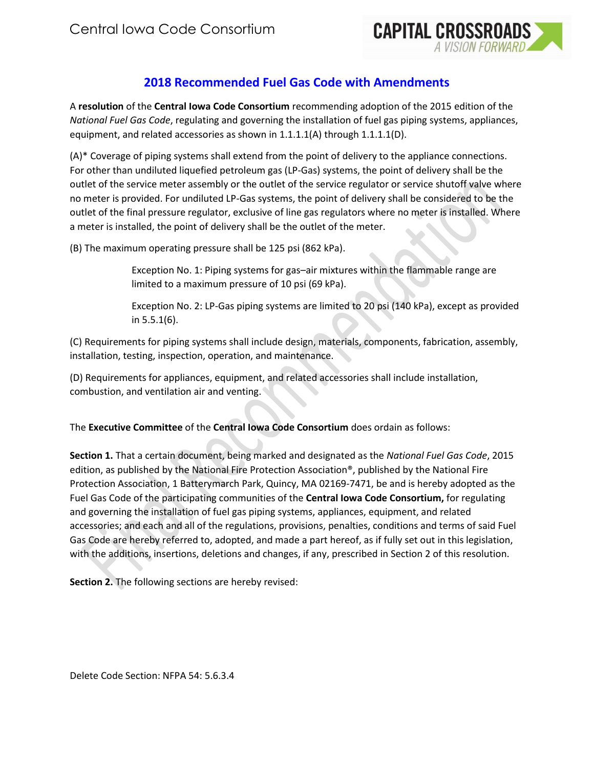

## **2018 Recommended Fuel Gas Code with Amendments**

A **resolution** of the **Central Iowa Code Consortium** recommending adoption of the 2015 edition of the *National Fuel Gas Code*, regulating and governing the installation of fuel gas piping systems, appliances, equipment, and related accessories as shown in 1.1.1.1(A) through 1.1.1.1(D).

(A)\* Coverage of piping systems shall extend from the point of delivery to the appliance connections. For other than undiluted liquefied petroleum gas (LP-Gas) systems, the point of delivery shall be the outlet of the service meter assembly or the outlet of the service regulator or service shutoff valve where no meter is provided. For undiluted LP-Gas systems, the point of delivery shall be considered to be the outlet of the final pressure regulator, exclusive of line gas regulators where no meter is installed. Where a meter is installed, the point of delivery shall be the outlet of the meter.

(B) The maximum operating pressure shall be 125 psi (862 kPa).

Exception No. 1: Piping systems for gas–air mixtures within the flammable range are limited to a maximum pressure of 10 psi (69 kPa).

Exception No. 2: LP-Gas piping systems are limited to 20 psi (140 kPa), except as provided in 5.5.1(6).

(C) Requirements for piping systems shall include design, materials, components, fabrication, assembly, installation, testing, inspection, operation, and maintenance.

(D) Requirements for appliances, equipment, and related accessories shall include installation, combustion, and ventilation air and venting.

The **Executive Committee** of the **Central Iowa Code Consortium** does ordain as follows:

**Section 1.** That a certain document, being marked and designated as the *National Fuel Gas Code*, 2015 edition, as published by the National Fire Protection Association®, published by the National Fire Protection Association, 1 Batterymarch Park, Quincy, MA 02169-7471, be and is hereby adopted as the Fuel Gas Code of the participating communities of the **Central Iowa Code Consortium,** for regulating and governing the installation of fuel gas piping systems, appliances, equipment, and related accessories; and each and all of the regulations, provisions, penalties, conditions and terms of said Fuel Gas Code are hereby referred to, adopted, and made a part hereof, as if fully set out in this legislation, with the additions, insertions, deletions and changes, if any, prescribed in Section 2 of this resolution.

**Section 2.** The following sections are hereby revised:

Delete Code Section: NFPA 54: 5.6.3.4